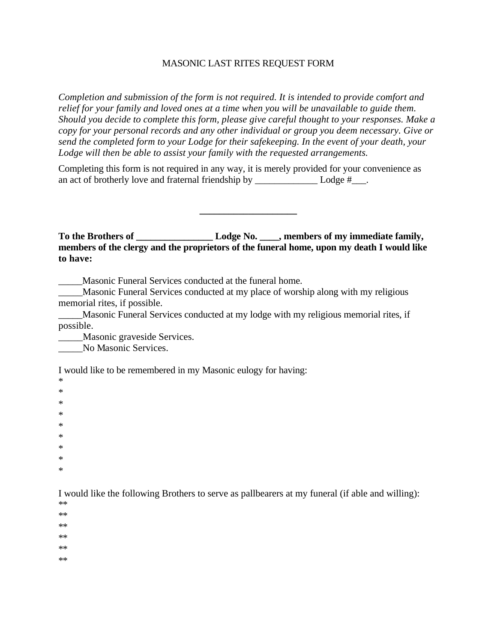## MASONIC LAST RITES REQUEST FORM

*Completion and submission of the form is not required. It is intended to provide comfort and relief for your family and loved ones at a time when you will be unavailable to guide them. Should you decide to complete this form, please give careful thought to your responses. Make a copy for your personal records and any other individual or group you deem necessary. Give or send the completed form to your Lodge for their safekeeping. In the event of your death, your Lodge will then be able to assist your family with the requested arrangements.*

Completing this form is not required in any way, it is merely provided for your convenience as an act of brotherly love and fraternal friendship by  $\qquad$  Lodge # $\qquad$ .

**To the Brothers of \_\_\_\_\_\_\_\_\_\_\_\_\_\_\_\_ Lodge No. \_\_\_\_, members of my immediate family, members of the clergy and the proprietors of the funeral home, upon my death I would like to have:**

**\_\_\_\_\_\_\_\_\_\_\_\_\_\_\_\_\_\_\_\_**

Masonic Funeral Services conducted at the funeral home.

\_\_\_\_\_Masonic Funeral Services conducted at my place of worship along with my religious memorial rites, if possible.

Masonic Funeral Services conducted at my lodge with my religious memorial rites, if possible.

Masonic graveside Services.

\_\_\_\_\_No Masonic Services.

I would like to be remembered in my Masonic eulogy for having:

\* \* \* \* \* \* \* \*

\*

I would like the following Brothers to serve as pallbearers at my funeral (if able and willing):

\*\*

\*\*

\*\*

\*\*

\*\*

\*\*